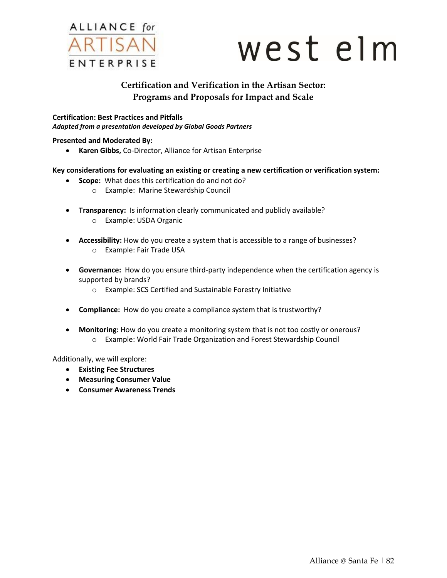

# west elm

# **Certification and Verification in the Artisan Sector: Programs and Proposals for Impact and Scale**

**Certification: Best Practices and Pitfalls** *Adapted from a presentation developed by Global Goods Partners*

### **Presented and Moderated By:**

**Karen Gibbs,** Co-Director, Alliance for Artisan Enterprise

### **Key considerations for evaluating an existing or creating a new certification or verification system:**

- **Scope:** What does this certification do and not do?
	- o Example: Marine Stewardship Council
- **Transparency:** Is information clearly communicated and publicly available?
	- o Example: USDA Organic
- **Accessibility:** How do you create a system that is accessible to a range of businesses? o Example: Fair Trade USA
- **Governance:** How do you ensure third-party independence when the certification agency is supported by brands?
	- o Example: SCS Certified and Sustainable Forestry Initiative
- **Compliance:** How do you create a compliance system that is trustworthy?
- **Monitoring:** How do you create a monitoring system that is not too costly or onerous? o Example: World Fair Trade Organization and Forest Stewardship Council

Additionally, we will explore:

- **Existing Fee Structures**
- **Measuring Consumer Value**
- **Consumer Awareness Trends**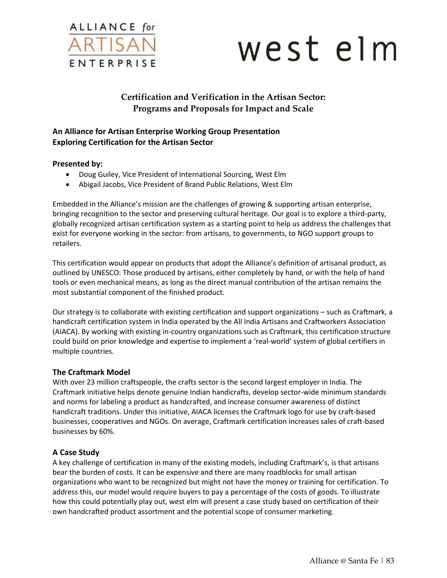

# west elm

# **Certification and Verification in the Artisan Sector: Programs and Proposals for Impact and Scale**

# **An Alliance for Artisan Enterprise Working Group Presentation Exploring Certification for the Artisan Sector**

# **Presented by:**

- Doug Guiley, Vice President of International Sourcing, West Elm
- Abigail Jacobs, Vice President of Brand Public Relations, West Elm

Embedded in the Alliance's mission are the challenges of growing & supporting artisan enterprise, bringing recognition to the sector and preserving cultural heritage. Our goal is to explore a third-party, globally recognized artisan certification system as a starting point to help us address the challenges that exist for everyone working in the sector: from artisans, to governments, to NGO support groups to retailers.

This certification would appear on products that adopt the Alliance's definition of artisanal product, as outlined by UNESCO: Those produced by artisans, either completely by hand, or with the help of hand tools or even mechanical means, as long as the direct manual contribution of the artisan remains the most substantial component of the finished product.

Our strategy is to collaborate with existing certification and support organizations – such as Craftmark, a handicraft certification system in India operated by the All India Artisans and Craftworkers Association (AIACA). By working with existing in-country organizations such as Craftmark, this certification structure could build on prior knowledge and expertise to implement a 'real-world' system of global certifiers in multiple countries.

# **The Craftmark Model**

With over 23 million craftspeople, the crafts sector is the second largest employer in India. The Craftmark initiative helps denote genuine Indian handicrafts, develop sector-wide minimum standards and norms for labeling a product as handcrafted, and increase consumer awareness of distinct handicraft traditions. Under this initiative, AIACA licenses the Craftmark logo for use by craft-based businesses, cooperatives and NGOs. On average, Craftmark certification increases sales of craft-based businesses by 60%.

# **A Case Study**

A key challenge of certification in many of the existing models, including Craftmark's, is that artisans bear the burden of costs. It can be expensive and there are many roadblocks for small artisan organizations who want to be recognized but might not have the money or training for certification. To address this, our model would require buyers to pay a percentage of the costs of goods. To illustrate how this could potentially play out, west elm will present a case study based on certification of their own handcrafted product assortment and the potential scope of consumer marketing.